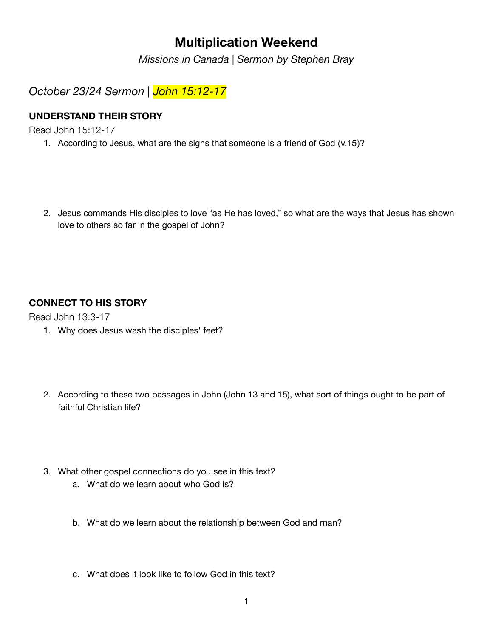# **Multiplication Weekend**

*Missions in Canada | Sermon by Stephen Bray*

*October 23/24 Sermon | John 15:12-17*

## **UNDERSTAND THEIR STORY**

Read John 15:12-17

- 1. According to Jesus, what are the signs that someone is a friend of God (v.15)?
- 2. Jesus commands His disciples to love "as He has loved," so what are the ways that Jesus has shown love to others so far in the gospel of John?

## **CONNECT TO HIS STORY**

Read John 13:3-17

- 1. Why does Jesus wash the disciples' feet?
- 2. According to these two passages in John (John 13 and 15), what sort of things ought to be part of faithful Christian life?
- 3. What other gospel connections do you see in this text?
	- a. What do we learn about who God is?
	- b. What do we learn about the relationship between God and man?
	- c. What does it look like to follow God in this text?